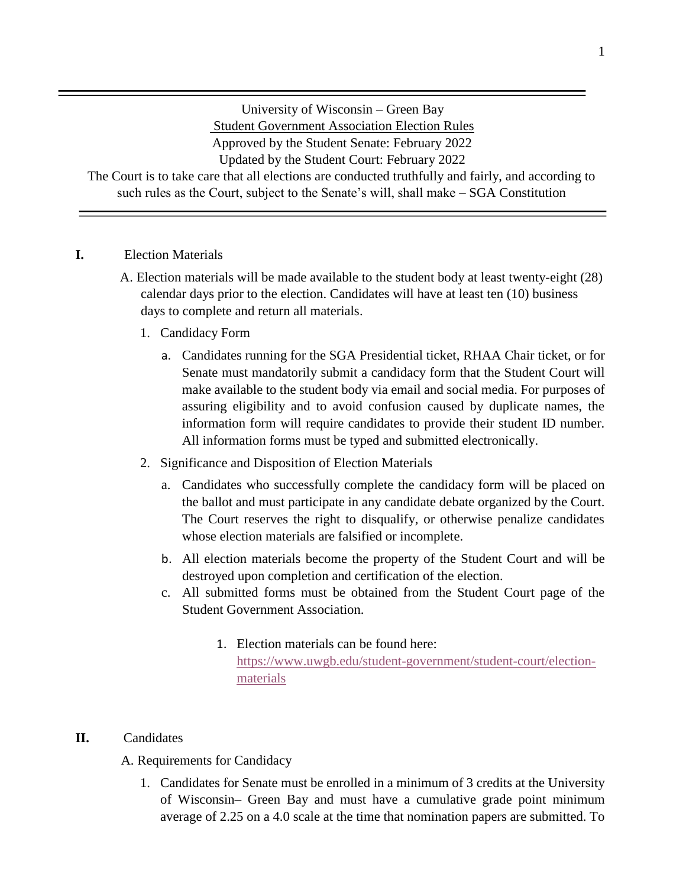University of Wisconsin – Green Bay Student Government Association Election Rules Approved by the Student Senate: February 2022 Updated by the Student Court: February 2022

The Court is to take care that all elections are conducted truthfully and fairly, and according to such rules as the Court, subject to the Senate's will, shall make – SGA Constitution

### **I.** Election Materials

- A. Election materials will be made available to the student body at least twenty-eight (28) calendar days prior to the election. Candidates will have at least ten (10) business days to complete and return all materials.
	- 1. Candidacy Form
		- a. Candidates running for the SGA Presidential ticket, RHAA Chair ticket, or for Senate must mandatorily submit a candidacy form that the Student Court will make available to the student body via email and social media. For purposes of assuring eligibility and to avoid confusion caused by duplicate names, the information form will require candidates to provide their student ID number. All information forms must be typed and submitted electronically.
	- 2. Significance and Disposition of Election Materials
		- a. Candidates who successfully complete the candidacy form will be placed on the ballot and must participate in any candidate debate organized by the Court. The Court reserves the right to disqualify, or otherwise penalize candidates whose election materials are falsified or incomplete.
		- b. All election materials become the property of the Student Court and will be destroyed upon completion and certification of the election.
		- c. All submitted forms must be obtained from the Student Court page of the Student Government Association.
			- 1. Election materials can be found here: [https://www.uwgb.edu/student-government/student-court/election](https://www.uwgb.edu/student-government/student-court/election-materials)[materials](https://www.uwgb.edu/student-government/student-court/election-materials)

### **II.** Candidates

A. Requirements for Candidacy

1. Candidates for Senate must be enrolled in a minimum of 3 credits at the University of Wisconsin– Green Bay and must have a cumulative grade point minimum average of 2.25 on a 4.0 scale at the time that nomination papers are submitted. To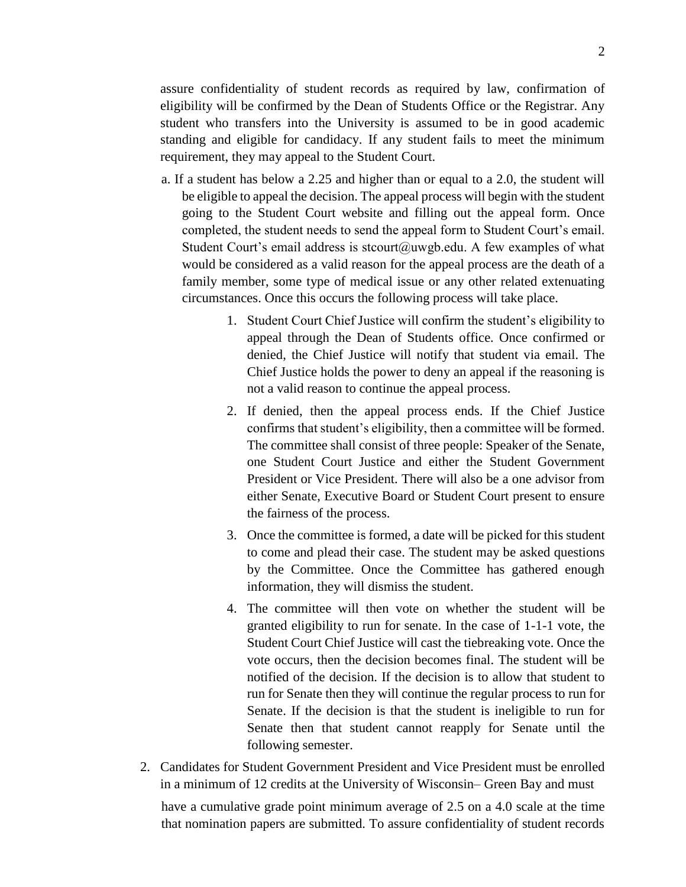assure confidentiality of student records as required by law, confirmation of eligibility will be confirmed by the Dean of Students Office or the Registrar. Any student who transfers into the University is assumed to be in good academic standing and eligible for candidacy. If any student fails to meet the minimum requirement, they may appeal to the Student Court.

- a. If a student has below a 2.25 and higher than or equal to a 2.0, the student will be eligible to appeal the decision. The appeal process will begin with the student going to the Student Court website and filling out the appeal form. Once completed, the student needs to send the appeal form to Student Court's email. Student Court's email address is stcourt@uwgb.edu. A few examples of what would be considered as a valid reason for the appeal process are the death of a family member, some type of medical issue or any other related extenuating circumstances. Once this occurs the following process will take place.
	- 1. Student Court Chief Justice will confirm the student's eligibility to appeal through the Dean of Students office. Once confirmed or denied, the Chief Justice will notify that student via email. The Chief Justice holds the power to deny an appeal if the reasoning is not a valid reason to continue the appeal process.
	- 2. If denied, then the appeal process ends. If the Chief Justice confirms that student's eligibility, then a committee will be formed. The committee shall consist of three people: Speaker of the Senate, one Student Court Justice and either the Student Government President or Vice President. There will also be a one advisor from either Senate, Executive Board or Student Court present to ensure the fairness of the process.
	- 3. Once the committee is formed, a date will be picked for this student to come and plead their case. The student may be asked questions by the Committee. Once the Committee has gathered enough information, they will dismiss the student.
	- 4. The committee will then vote on whether the student will be granted eligibility to run for senate. In the case of 1-1-1 vote, the Student Court Chief Justice will cast the tiebreaking vote. Once the vote occurs, then the decision becomes final. The student will be notified of the decision. If the decision is to allow that student to run for Senate then they will continue the regular process to run for Senate. If the decision is that the student is ineligible to run for Senate then that student cannot reapply for Senate until the following semester.
- 2. Candidates for Student Government President and Vice President must be enrolled in a minimum of 12 credits at the University of Wisconsin– Green Bay and must

have a cumulative grade point minimum average of 2.5 on a 4.0 scale at the time that nomination papers are submitted. To assure confidentiality of student records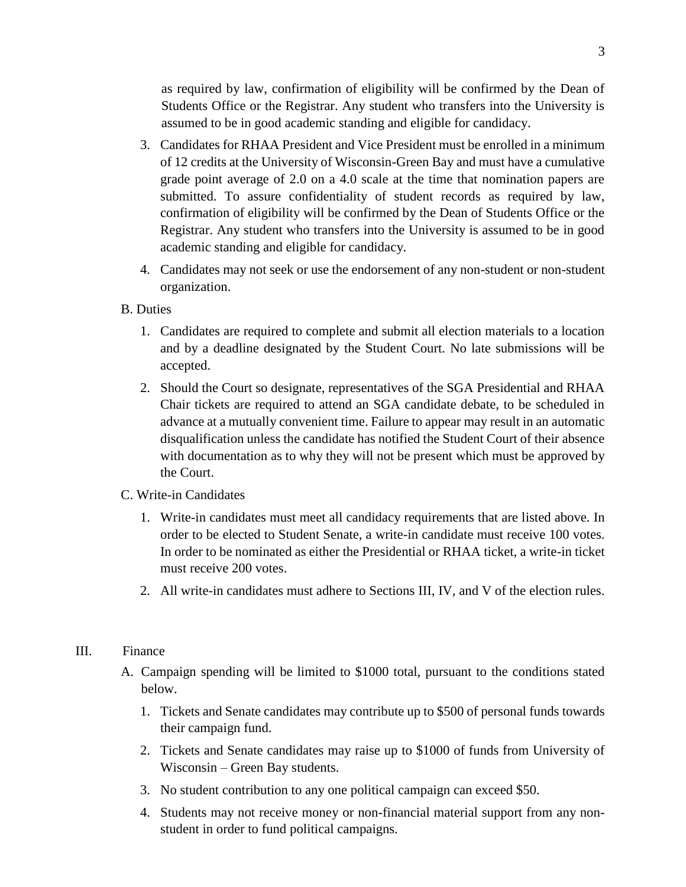as required by law, confirmation of eligibility will be confirmed by the Dean of Students Office or the Registrar. Any student who transfers into the University is assumed to be in good academic standing and eligible for candidacy.

- 3. Candidates for RHAA President and Vice President must be enrolled in a minimum of 12 credits at the University of Wisconsin-Green Bay and must have a cumulative grade point average of 2.0 on a 4.0 scale at the time that nomination papers are submitted. To assure confidentiality of student records as required by law, confirmation of eligibility will be confirmed by the Dean of Students Office or the Registrar. Any student who transfers into the University is assumed to be in good academic standing and eligible for candidacy.
- 4. Candidates may not seek or use the endorsement of any non-student or non-student organization.
- B. Duties
	- 1. Candidates are required to complete and submit all election materials to a location and by a deadline designated by the Student Court. No late submissions will be accepted.
	- 2. Should the Court so designate, representatives of the SGA Presidential and RHAA Chair tickets are required to attend an SGA candidate debate, to be scheduled in advance at a mutually convenient time. Failure to appear may result in an automatic disqualification unless the candidate has notified the Student Court of their absence with documentation as to why they will not be present which must be approved by the Court.
- C. Write-in Candidates
	- 1. Write-in candidates must meet all candidacy requirements that are listed above. In order to be elected to Student Senate, a write-in candidate must receive 100 votes. In order to be nominated as either the Presidential or RHAA ticket, a write-in ticket must receive 200 votes.
	- 2. All write-in candidates must adhere to Sections III, IV, and V of the election rules.

#### III. Finance

- A. Campaign spending will be limited to \$1000 total, pursuant to the conditions stated below.
	- 1. Tickets and Senate candidates may contribute up to \$500 of personal funds towards their campaign fund.
	- 2. Tickets and Senate candidates may raise up to \$1000 of funds from University of Wisconsin – Green Bay students.
	- 3. No student contribution to any one political campaign can exceed \$50.
	- 4. Students may not receive money or non-financial material support from any nonstudent in order to fund political campaigns.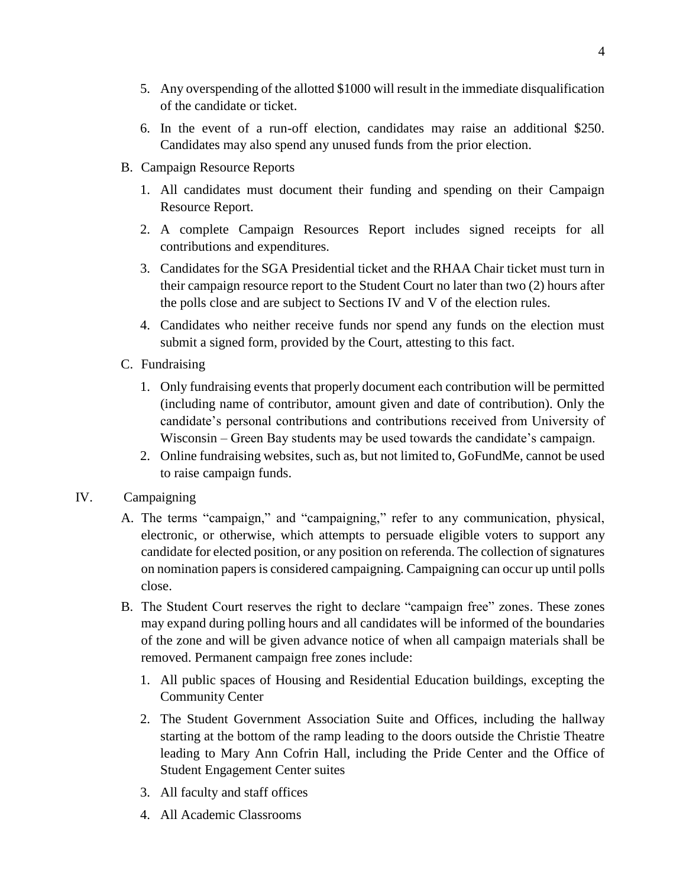- 5. Any overspending of the allotted \$1000 will result in the immediate disqualification of the candidate or ticket.
- 6. In the event of a run-off election, candidates may raise an additional \$250. Candidates may also spend any unused funds from the prior election.
- B. Campaign Resource Reports
	- 1. All candidates must document their funding and spending on their Campaign Resource Report.
	- 2. A complete Campaign Resources Report includes signed receipts for all contributions and expenditures.
	- 3. Candidates for the SGA Presidential ticket and the RHAA Chair ticket must turn in their campaign resource report to the Student Court no later than two (2) hours after the polls close and are subject to Sections IV and V of the election rules.
	- 4. Candidates who neither receive funds nor spend any funds on the election must submit a signed form, provided by the Court, attesting to this fact.
- C. Fundraising
	- 1. Only fundraising events that properly document each contribution will be permitted (including name of contributor, amount given and date of contribution). Only the candidate's personal contributions and contributions received from University of Wisconsin – Green Bay students may be used towards the candidate's campaign.
	- 2. Online fundraising websites, such as, but not limited to, GoFundMe, cannot be used to raise campaign funds.

## IV. Campaigning

- A. The terms "campaign," and "campaigning," refer to any communication, physical, electronic, or otherwise, which attempts to persuade eligible voters to support any candidate for elected position, or any position on referenda. The collection of signatures on nomination papers is considered campaigning. Campaigning can occur up until polls close.
- B. The Student Court reserves the right to declare "campaign free" zones. These zones may expand during polling hours and all candidates will be informed of the boundaries of the zone and will be given advance notice of when all campaign materials shall be removed. Permanent campaign free zones include:
	- 1. All public spaces of Housing and Residential Education buildings, excepting the Community Center
	- 2. The Student Government Association Suite and Offices, including the hallway starting at the bottom of the ramp leading to the doors outside the Christie Theatre leading to Mary Ann Cofrin Hall, including the Pride Center and the Office of Student Engagement Center suites
	- 3. All faculty and staff offices
	- 4. All Academic Classrooms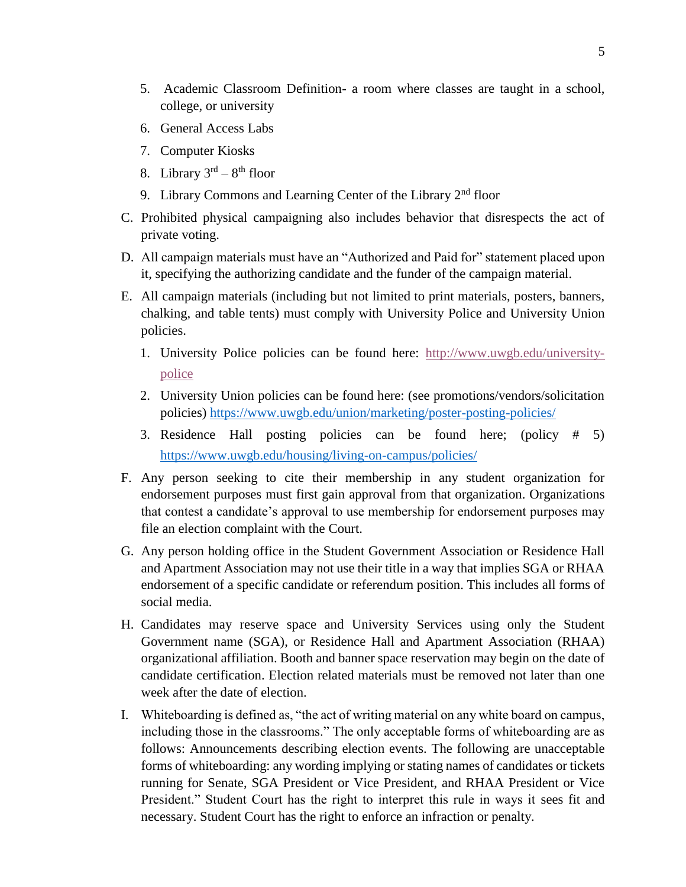- 5. Academic Classroom Definition- a room where classes are taught in a school, college, or university
- 6. General Access Labs
- 7. Computer Kiosks
- 8. Library  $3^{rd} 8^{th}$  floor
- 9. Library Commons and Learning Center of the Library  $2<sup>nd</sup>$  floor
- C. Prohibited physical campaigning also includes behavior that disrespects the act of private voting.
- D. All campaign materials must have an "Authorized and Paid for" statement placed upon it, specifying the authorizing candidate and the funder of the campaign material.
- E. All campaign materials (including but not limited to print materials, posters, banners, chalking, and table tents) must comply with University Police and University Union policies.
	- 1. University Police policies can be found here: [http://www.uwgb.edu/university](http://www.uwgb.edu/university-police)[police](http://www.uwgb.edu/university-police)
	- 2. University Union policies can be found here: (see promotions/vendors/solicitation policies)<https://www.uwgb.edu/union/marketing/poster-posting-policies/>
	- 3. Residence Hall posting policies can be found here; (policy # 5) <https://www.uwgb.edu/housing/living-on-campus/policies/>
- F. Any person seeking to cite their membership in any student organization for endorsement purposes must first gain approval from that organization. Organizations that contest a candidate's approval to use membership for endorsement purposes may file an election complaint with the Court.
- G. Any person holding office in the Student Government Association or Residence Hall and Apartment Association may not use their title in a way that implies SGA or RHAA endorsement of a specific candidate or referendum position. This includes all forms of social media.
- H. Candidates may reserve space and University Services using only the Student Government name (SGA), or Residence Hall and Apartment Association (RHAA) organizational affiliation. Booth and banner space reservation may begin on the date of candidate certification. Election related materials must be removed not later than one week after the date of election.
- I. Whiteboarding is defined as, "the act of writing material on any white board on campus, including those in the classrooms." The only acceptable forms of whiteboarding are as follows: Announcements describing election events. The following are unacceptable forms of whiteboarding: any wording implying or stating names of candidates or tickets running for Senate, SGA President or Vice President, and RHAA President or Vice President." Student Court has the right to interpret this rule in ways it sees fit and necessary. Student Court has the right to enforce an infraction or penalty.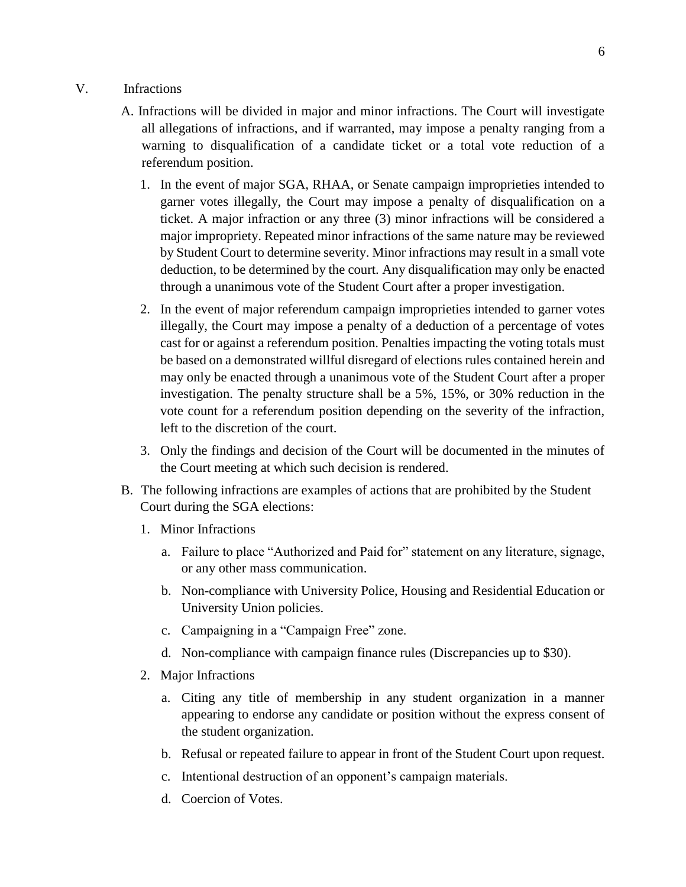### V. Infractions

- A. Infractions will be divided in major and minor infractions. The Court will investigate all allegations of infractions, and if warranted, may impose a penalty ranging from a warning to disqualification of a candidate ticket or a total vote reduction of a referendum position.
	- 1. In the event of major SGA, RHAA, or Senate campaign improprieties intended to garner votes illegally, the Court may impose a penalty of disqualification on a ticket. A major infraction or any three (3) minor infractions will be considered a major impropriety. Repeated minor infractions of the same nature may be reviewed by Student Court to determine severity. Minor infractions may result in a small vote deduction, to be determined by the court. Any disqualification may only be enacted through a unanimous vote of the Student Court after a proper investigation.
	- 2. In the event of major referendum campaign improprieties intended to garner votes illegally, the Court may impose a penalty of a deduction of a percentage of votes cast for or against a referendum position. Penalties impacting the voting totals must be based on a demonstrated willful disregard of elections rules contained herein and may only be enacted through a unanimous vote of the Student Court after a proper investigation. The penalty structure shall be a 5%, 15%, or 30% reduction in the vote count for a referendum position depending on the severity of the infraction, left to the discretion of the court.
	- 3. Only the findings and decision of the Court will be documented in the minutes of the Court meeting at which such decision is rendered.
- B. The following infractions are examples of actions that are prohibited by the Student Court during the SGA elections:
	- 1. Minor Infractions
		- a. Failure to place "Authorized and Paid for" statement on any literature, signage, or any other mass communication.
		- b. Non-compliance with University Police, Housing and Residential Education or University Union policies.
		- c. Campaigning in a "Campaign Free" zone.
		- d. Non-compliance with campaign finance rules (Discrepancies up to \$30).
	- 2. Major Infractions
		- a. Citing any title of membership in any student organization in a manner appearing to endorse any candidate or position without the express consent of the student organization.
		- b. Refusal or repeated failure to appear in front of the Student Court upon request.
		- c. Intentional destruction of an opponent's campaign materials.
		- d. Coercion of Votes.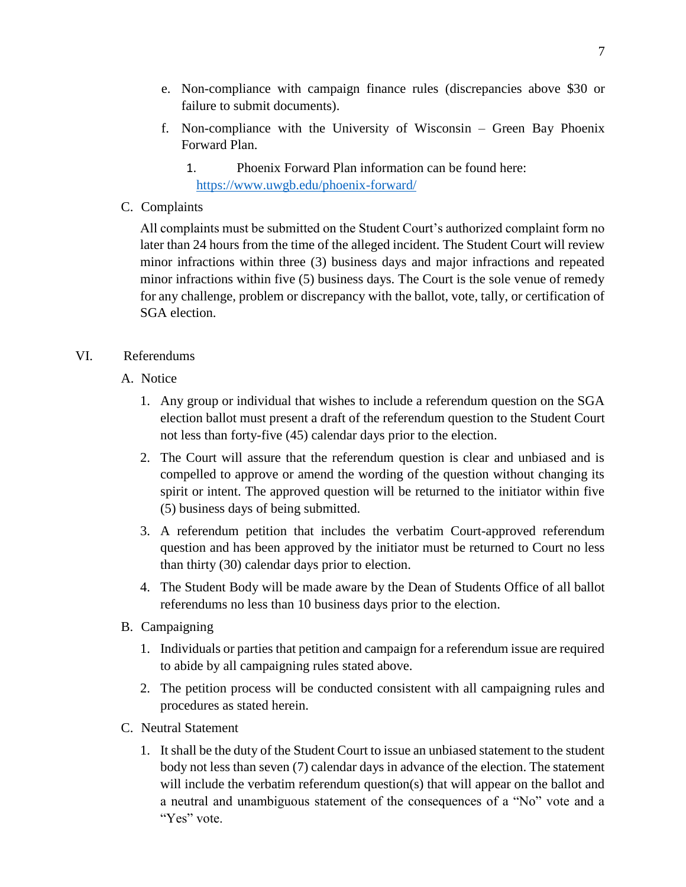- e. Non-compliance with campaign finance rules (discrepancies above \$30 or failure to submit documents).
- f. Non-compliance with the University of Wisconsin Green Bay Phoenix Forward Plan.
	- 1. Phoenix Forward Plan information can be found here: <https://www.uwgb.edu/phoenix-forward/>
- C. Complaints

All complaints must be submitted on the Student Court's authorized complaint form no later than 24 hours from the time of the alleged incident. The Student Court will review minor infractions within three (3) business days and major infractions and repeated minor infractions within five (5) business days. The Court is the sole venue of remedy for any challenge, problem or discrepancy with the ballot, vote, tally, or certification of SGA election.

# VI. Referendums

- A. Notice
	- 1. Any group or individual that wishes to include a referendum question on the SGA election ballot must present a draft of the referendum question to the Student Court not less than forty-five (45) calendar days prior to the election.
	- 2. The Court will assure that the referendum question is clear and unbiased and is compelled to approve or amend the wording of the question without changing its spirit or intent. The approved question will be returned to the initiator within five (5) business days of being submitted.
	- 3. A referendum petition that includes the verbatim Court-approved referendum question and has been approved by the initiator must be returned to Court no less than thirty (30) calendar days prior to election.
	- 4. The Student Body will be made aware by the Dean of Students Office of all ballot referendums no less than 10 business days prior to the election.
- B. Campaigning
	- 1. Individuals or parties that petition and campaign for a referendum issue are required to abide by all campaigning rules stated above.
	- 2. The petition process will be conducted consistent with all campaigning rules and procedures as stated herein.
- C. Neutral Statement
	- 1. It shall be the duty of the Student Court to issue an unbiased statement to the student body not less than seven (7) calendar days in advance of the election. The statement will include the verbatim referendum question(s) that will appear on the ballot and a neutral and unambiguous statement of the consequences of a "No" vote and a "Yes" vote.